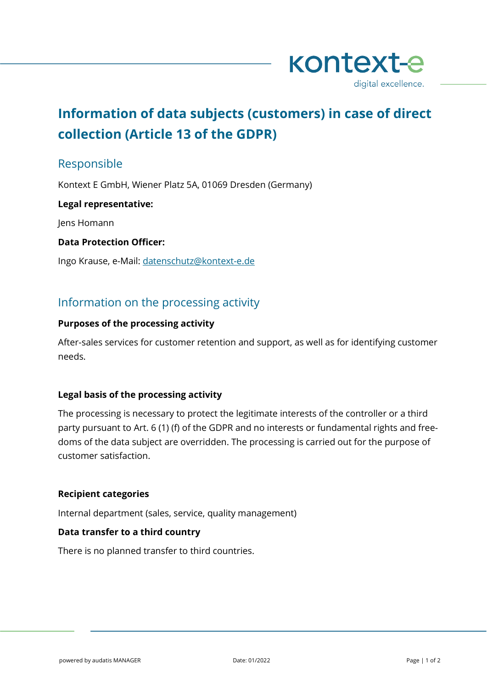

# **Information of data subjects (customers) in case of direct collection (Article 13 of the GDPR)**

## Responsible

Kontext E GmbH, Wiener Platz 5A, 01069 Dresden (Germany)

#### **Legal representative:**

Jens Homann

#### **Data Protection Officer:**

Ingo Krause, e-Mail: [datenschutz@kontext-e.de](mailto:datenschutz@kontext-e.de)

# Information on the processing activity

#### **Purposes of the processing activity**

After-sales services for customer retention and support, as well as for identifying customer needs.

## **Legal basis of the processing activity**

The processing is necessary to protect the legitimate interests of the controller or a third party pursuant to Art. 6 (1) (f) of the GDPR and no interests or fundamental rights and freedoms of the data subject are overridden. The processing is carried out for the purpose of customer satisfaction.

## **Recipient categories**

Internal department (sales, service, quality management)

#### **Data transfer to a third country**

There is no planned transfer to third countries.